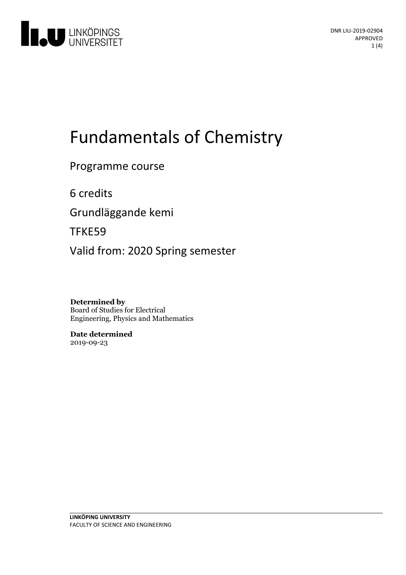

# Fundamentals of Chemistry

Programme course

6 credits

Grundläggande kemi

TFKE59

Valid from: 2020 Spring semester

**Determined by** Board of Studies for Electrical Engineering, Physics and Mathematics

**Date determined** 2019-09-23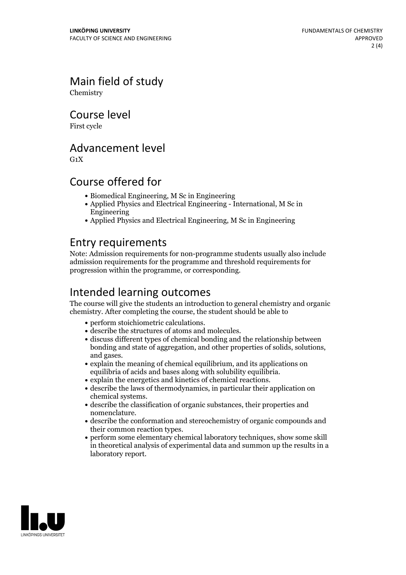Main field of study Chemistry

Course level

First cycle

## Advancement level

 $G_1X$ 

## Course offered for

- Biomedical Engineering, M Sc in Engineering
- Applied Physics and Electrical Engineering International, M Sc in Engineering
- Applied Physics and Electrical Engineering, M Sc in Engineering

# Entry requirements

Note: Admission requirements for non-programme students usually also include admission requirements for the programme and threshold requirements for progression within the programme, or corresponding.

# Intended learning outcomes

The course will give the students an introduction to general chemistry and organic chemistry. After completing the course, the student should be able to

- 
- 
- perform stoichiometric calculations. describe the structures of atoms and molecules. discuss different types of chemical bonding and the relationship between bonding and state of aggregation, and other properties of solids, solutions,<br>and gases.<br>• explain the meaning of chemical equilibrium, and its applications on<br>equilibria of acids and bases along with solubility equilibria.
- 
- 
- $\bullet$  explain the energetics and kinetics of chemical reactions.  $\bullet$  describe the laws of thermodynamics, in particular their application on chemical systems.<br>• describe the classification of organic substances, their properties and
- 
- nomenclature.<br>• describe the conformation and stereochemistry of organic compounds and their common reaction types.<br>• perform some elementary chemical laboratory techniques, show some skill
- in theoretical analysis of experimental data and summon up the results in a laboratory report.

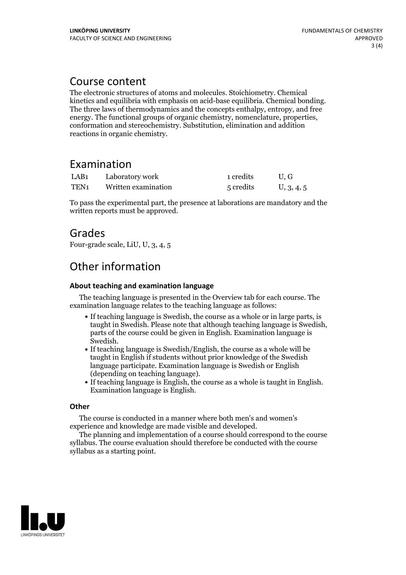## Course content

The electronic structures of atoms and molecules. Stoichiometry. Chemical kinetics and equilibria with emphasis on acid-base equilibria. Chemical bonding. The three laws of thermodynamics and the concepts enthalpy, entropy, and free energy. The functional groups of organic chemistry, nomenclature, properties, conformation and stereochemistry. Substitution, elimination and addition reactions in organic chemistry.

# Examination

| LAB <sub>1</sub> | Laboratory work     | 1 credits | U.G        |
|------------------|---------------------|-----------|------------|
| TEN <sub>1</sub> | Written examination | 5 credits | U, 3, 4, 5 |

To pass the experimental part, the presence at laborations are mandatory and the written reports must be approved.

# Grades

Four-grade scale, LiU, U, 3, 4, 5

# Other information

#### **About teaching and examination language**

The teaching language is presented in the Overview tab for each course. The examination language relates to the teaching language as follows:

- If teaching language is Swedish, the course as a whole or in large parts, is taught in Swedish. Please note that although teaching language is Swedish, parts of the course could be given in English. Examination language is
- Swedish.<br>• If teaching language is Swedish/English, the course as a whole will be taught in English if students without prior knowledge of the Swedish language participate. Examination language is Swedish or English
- (depending on teaching language).<br>• If teaching language is English, the course as a whole is taught in English.<br>Examination language is English.

#### **Other**

The course is conducted in a manner where both men's and women's

The planning and implementation of a course should correspond to the course should correspond to the course should correspond to the course should correspond to the course should correspond to the course of the course of t syllabus. The course evaluation should therefore be conducted with the course syllabus as a starting point.